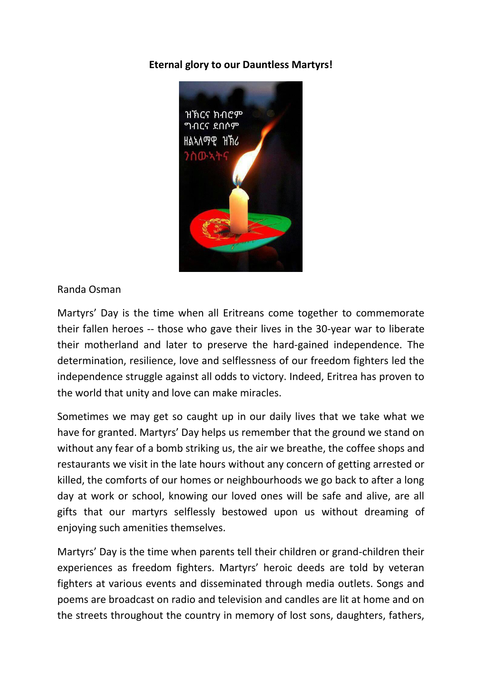## **Eternal glory to our Dauntless Martyrs!**



Randa Osman

Martyrs' Day is the time when all Eritreans come together to commemorate their fallen heroes -- those who gave their lives in the 30-year war to liberate their motherland and later to preserve the hard-gained independence. The determination, resilience, love and selflessness of our freedom fighters led the independence struggle against all odds to victory. Indeed, Eritrea has proven to the world that unity and love can make miracles.

Sometimes we may get so caught up in our daily lives that we take what we have for granted. Martyrs' Day helps us remember that the ground we stand on without any fear of a bomb striking us, the air we breathe, the coffee shops and restaurants we visit in the late hours without any concern of getting arrested or killed, the comforts of our homes or neighbourhoods we go back to after a long day at work or school, knowing our loved ones will be safe and alive, are all gifts that our martyrs selflessly bestowed upon us without dreaming of enjoying such amenities themselves.

Martyrs' Day is the time when parents tell their children or grand-children their experiences as freedom fighters. Martyrs' heroic deeds are told by veteran fighters at various events and disseminated through media outlets. Songs and poems are broadcast on radio and television and candles are lit at home and on the streets throughout the country in memory of lost sons, daughters, fathers,